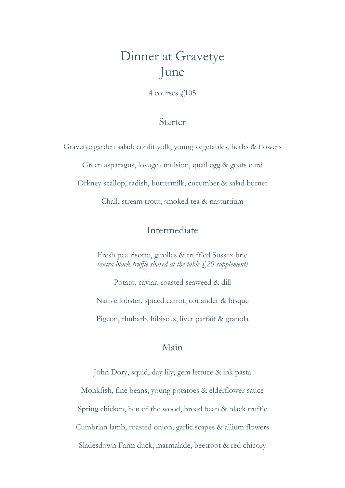## Dinner at Gravetye June

4 courses  $\text{\emph{f}}105$ 

#### Starter

Gravetye garden salad; confit yolk, young vegetables, herbs & flowers

Green asparagus, lovage emulsion, quail egg & goats curd

Orkney scallop, radish, buttermilk, cucumber & salad burnet

Chalk stream trout, smoked tea & nasturtium

#### Intermediate

Fresh pea risotto, girolles & truffled Sussex brie (extra black truffle shaved at the table  $f<sub>i</sub>20$  supplement)

Potato, caviar, roasted seaweed & dill Native lobster, spiced carrot, coriander & bisque Pigeon, rhubarb, hibiscus, liver parfait & granola

#### Main

John Dory, squid, day lily, gem lettuce & ink pasta Monkfish, fine beans, young potatoes & elderflower sauce Spring chicken, hen of the wood, broad bean & black truffle Cumbrian lamb, roasted onion, garlic scapes & allium flowers Sladesdown Farm duck, marmalade, beetroot & red chicory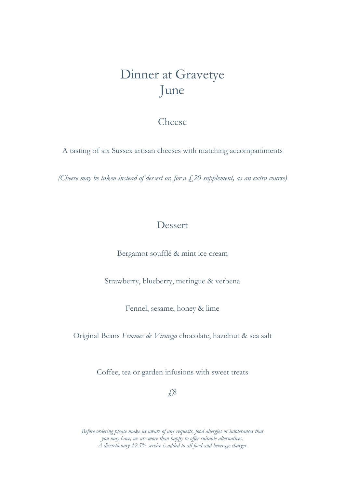# Dinner at Gravetye June

### Cheese

A tasting of six Sussex artisan cheeses with matching accompaniments

(Cheese may be taken instead of dessert or, for a  $f$ , 20 supplement, as an extra course)

### Dessert

Bergamot soufflé & mint ice cream

Strawberry, blueberry, meringue & verbena

Fennel, sesame, honey & lime

Original Beans Femmes de Virunga chocolate, hazelnut & sea salt

Coffee, tea or garden infusions with sweet treats

£8

Before ordering please make us aware of any requests, food allergies or intolerances that you may have; we are more than happy to offer suitable alternatives. A discretionary 12.5% service is added to all food and beverage charges.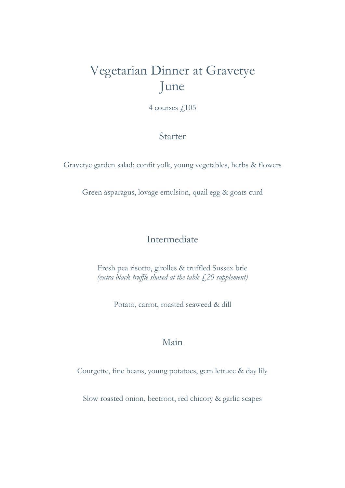# Vegetarian Dinner at Gravetye June

4 courses £105

#### Starter

Gravetye garden salad; confit yolk, young vegetables, herbs & flowers

Green asparagus, lovage emulsion, quail egg & goats curd

## Intermediate

Fresh pea risotto, girolles & truffled Sussex brie (extra black truffle shaved at the table  $f<sub>i</sub>$ , 20 supplement)

Potato, carrot, roasted seaweed & dill

### Main

Courgette, fine beans, young potatoes, gem lettuce & day lily

Slow roasted onion, beetroot, red chicory & garlic scapes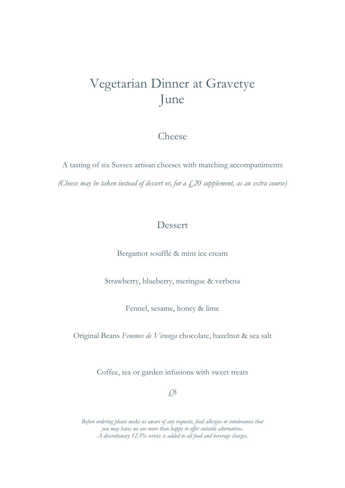# Vegetarian Dinner at Gravetye June

#### Cheese

A tasting of six Sussex artisan cheeses with matching accompaniments (Cheese may be taken instead of dessert or, for a  $f$ , 20 supplement, as an extra course)

### Dessert

Bergamot soufflé & mint ice cream

Strawberry, blueberry, meringue & verbena

Fennel, sesame, honey & lime

Original Beans Femmes de Virunga chocolate, hazelnut & sea salt

Coffee, tea or garden infusions with sweet treats

£8

Before ordering please make us aware of any requests, food allergies or intolerances that you may have; we are more than happy to offer suitable alternatives. A discretionary 12.5% service is added to all food and beverage charges.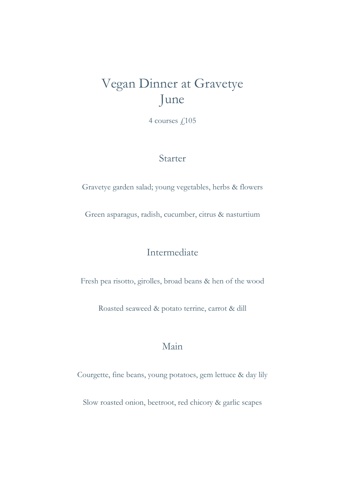# Vegan Dinner at Gravetye June

4 courses £105

### Starter

Gravetye garden salad; young vegetables, herbs & flowers

Green asparagus, radish, cucumber, citrus & nasturtium

## Intermediate

Fresh pea risotto, girolles, broad beans & hen of the wood

Roasted seaweed & potato terrine, carrot & dill

### Main

Courgette, fine beans, young potatoes, gem lettuce & day lily

Slow roasted onion, beetroot, red chicory & garlic scapes